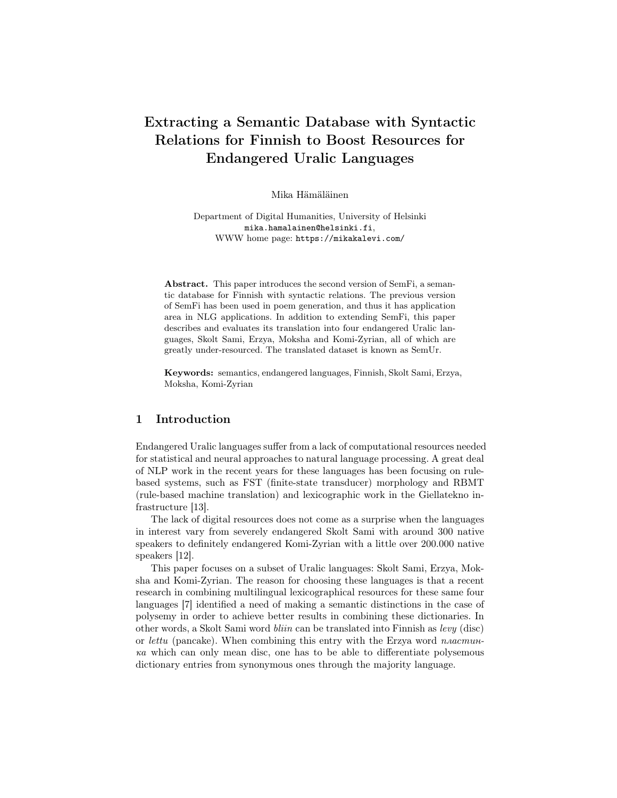# Extracting a Semantic Database with Syntactic Relations for Finnish to Boost Resources for Endangered Uralic Languages

Mika Hämäläinen

Department of Digital Humanities, University of Helsinki mika.hamalainen@helsinki.fi, WWW home page: https://mikakalevi.com/

Abstract. This paper introduces the second version of SemFi, a semantic database for Finnish with syntactic relations. The previous version of SemFi has been used in poem generation, and thus it has application area in NLG applications. In addition to extending SemFi, this paper describes and evaluates its translation into four endangered Uralic languages, Skolt Sami, Erzya, Moksha and Komi-Zyrian, all of which are greatly under-resourced. The translated dataset is known as SemUr.

Keywords: semantics, endangered languages, Finnish, Skolt Sami, Erzya, Moksha, Komi-Zyrian

### 1 Introduction

Endangered Uralic languages suffer from a lack of computational resources needed for statistical and neural approaches to natural language processing. A great deal of NLP work in the recent years for these languages has been focusing on rulebased systems, such as FST (finite-state transducer) morphology and RBMT (rule-based machine translation) and lexicographic work in the Giellatekno infrastructure [13].

The lack of digital resources does not come as a surprise when the languages in interest vary from severely endangered Skolt Sami with around 300 native speakers to definitely endangered Komi-Zyrian with a little over 200.000 native speakers [12].

This paper focuses on a subset of Uralic languages: Skolt Sami, Erzya, Moksha and Komi-Zyrian. The reason for choosing these languages is that a recent research in combining multilingual lexicographical resources for these same four languages [7] identified a need of making a semantic distinctions in the case of polysemy in order to achieve better results in combining these dictionaries. In other words, a Skolt Sami word bliin can be translated into Finnish as levy (disc) or lettu (pancake). When combining this entry with the Erzya word  $n \alpha$  muка which can only mean disc, one has to be able to differentiate polysemous dictionary entries from synonymous ones through the majority language.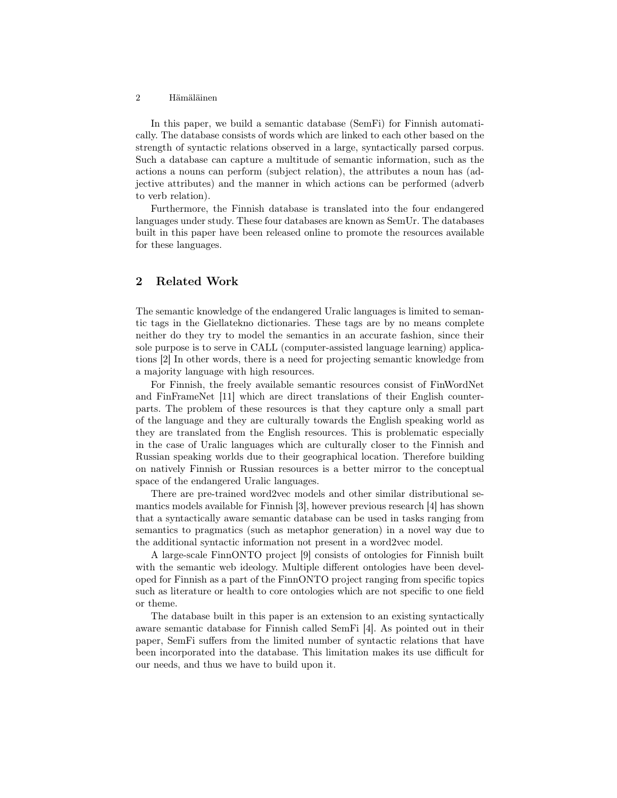In this paper, we build a semantic database (SemFi) for Finnish automatically. The database consists of words which are linked to each other based on the strength of syntactic relations observed in a large, syntactically parsed corpus. Such a database can capture a multitude of semantic information, such as the actions a nouns can perform (subject relation), the attributes a noun has (adjective attributes) and the manner in which actions can be performed (adverb to verb relation).

Furthermore, the Finnish database is translated into the four endangered languages under study. These four databases are known as SemUr. The databases built in this paper have been released online to promote the resources available for these languages.

# 2 Related Work

The semantic knowledge of the endangered Uralic languages is limited to semantic tags in the Giellatekno dictionaries. These tags are by no means complete neither do they try to model the semantics in an accurate fashion, since their sole purpose is to serve in CALL (computer-assisted language learning) applications [2] In other words, there is a need for projecting semantic knowledge from a majority language with high resources.

For Finnish, the freely available semantic resources consist of FinWordNet and FinFrameNet [11] which are direct translations of their English counterparts. The problem of these resources is that they capture only a small part of the language and they are culturally towards the English speaking world as they are translated from the English resources. This is problematic especially in the case of Uralic languages which are culturally closer to the Finnish and Russian speaking worlds due to their geographical location. Therefore building on natively Finnish or Russian resources is a better mirror to the conceptual space of the endangered Uralic languages.

There are pre-trained word2vec models and other similar distributional semantics models available for Finnish [3], however previous research [4] has shown that a syntactically aware semantic database can be used in tasks ranging from semantics to pragmatics (such as metaphor generation) in a novel way due to the additional syntactic information not present in a word2vec model.

A large-scale FinnONTO project [9] consists of ontologies for Finnish built with the semantic web ideology. Multiple different ontologies have been developed for Finnish as a part of the FinnONTO project ranging from specific topics such as literature or health to core ontologies which are not specific to one field or theme.

The database built in this paper is an extension to an existing syntactically aware semantic database for Finnish called SemFi [4]. As pointed out in their paper, SemFi suffers from the limited number of syntactic relations that have been incorporated into the database. This limitation makes its use difficult for our needs, and thus we have to build upon it.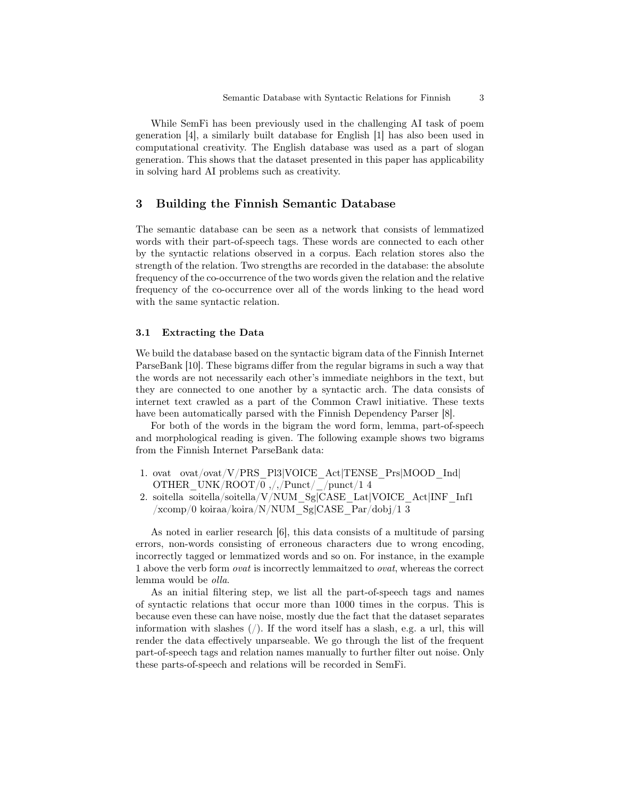While SemFi has been previously used in the challenging AI task of poem generation [4], a similarly built database for English [1] has also been used in computational creativity. The English database was used as a part of slogan generation. This shows that the dataset presented in this paper has applicability in solving hard AI problems such as creativity.

### 3 Building the Finnish Semantic Database

The semantic database can be seen as a network that consists of lemmatized words with their part-of-speech tags. These words are connected to each other by the syntactic relations observed in a corpus. Each relation stores also the strength of the relation. Two strengths are recorded in the database: the absolute frequency of the co-occurrence of the two words given the relation and the relative frequency of the co-occurrence over all of the words linking to the head word with the same syntactic relation.

### 3.1 Extracting the Data

We build the database based on the syntactic bigram data of the Finnish Internet ParseBank [10]. These bigrams differ from the regular bigrams in such a way that the words are not necessarily each other's immediate neighbors in the text, but they are connected to one another by a syntactic arch. The data consists of internet text crawled as a part of the Common Crawl initiative. These texts have been automatically parsed with the Finnish Dependency Parser [8].

For both of the words in the bigram the word form, lemma, part-of-speech and morphological reading is given. The following example shows two bigrams from the Finnish Internet ParseBank data:

- 1. ovat ovat/ovat/V/PRS\_Pl3|VOICE\_Act|TENSE\_Prs|MOOD\_Ind| OTHER UNK/ROOT/0  $,/$ ,/Punct/ $/$ punct/1 4
- 2. soitella soitella/soitella/V/NUM\_Sg|CASE\_Lat|VOICE\_Act|INF\_Inf1 /xcomp/0 koiraa/koira/N/NUM\_Sg|CASE\_Par/dobj/1 3

As noted in earlier research [6], this data consists of a multitude of parsing errors, non-words consisting of erroneous characters due to wrong encoding, incorrectly tagged or lemmatized words and so on. For instance, in the example 1 above the verb form ovat is incorrectly lemmaitzed to ovat, whereas the correct lemma would be olla.

As an initial filtering step, we list all the part-of-speech tags and names of syntactic relations that occur more than 1000 times in the corpus. This is because even these can have noise, mostly due the fact that the dataset separates information with slashes  $\langle \cdot \rangle$ . If the word itself has a slash, e.g. a url, this will render the data effectively unparseable. We go through the list of the frequent part-of-speech tags and relation names manually to further filter out noise. Only these parts-of-speech and relations will be recorded in SemFi.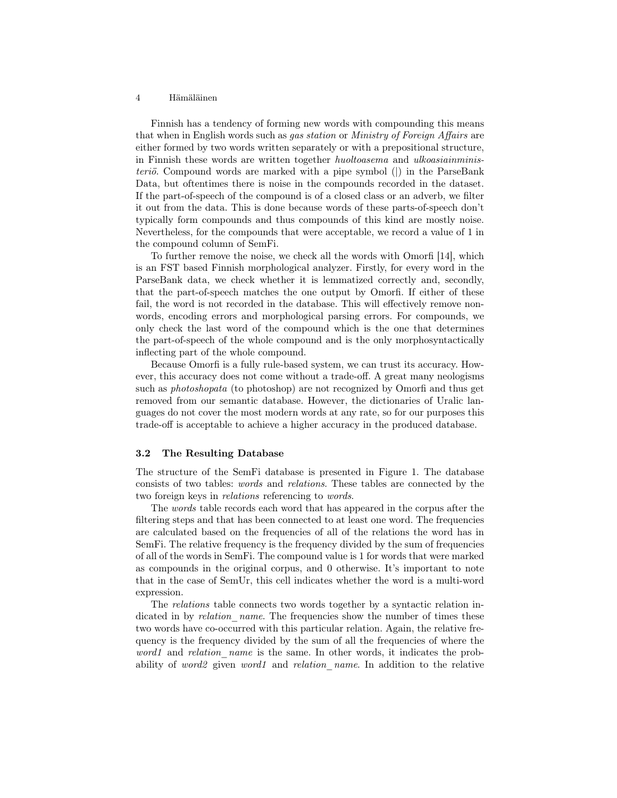Finnish has a tendency of forming new words with compounding this means that when in English words such as gas station or Ministry of Foreign Affairs are either formed by two words written separately or with a prepositional structure, in Finnish these words are written together huoltoasema and ulkoasiainministeriö. Compound words are marked with a pipe symbol (|) in the ParseBank Data, but oftentimes there is noise in the compounds recorded in the dataset. If the part-of-speech of the compound is of a closed class or an adverb, we filter it out from the data. This is done because words of these parts-of-speech don't typically form compounds and thus compounds of this kind are mostly noise. Nevertheless, for the compounds that were acceptable, we record a value of 1 in the compound column of SemFi.

To further remove the noise, we check all the words with Omorfi [14], which is an FST based Finnish morphological analyzer. Firstly, for every word in the ParseBank data, we check whether it is lemmatized correctly and, secondly, that the part-of-speech matches the one output by Omorfi. If either of these fail, the word is not recorded in the database. This will effectively remove nonwords, encoding errors and morphological parsing errors. For compounds, we only check the last word of the compound which is the one that determines the part-of-speech of the whole compound and is the only morphosyntactically inflecting part of the whole compound.

Because Omorfi is a fully rule-based system, we can trust its accuracy. However, this accuracy does not come without a trade-off. A great many neologisms such as *photoshopata* (to photoshop) are not recognized by Omorfi and thus get removed from our semantic database. However, the dictionaries of Uralic languages do not cover the most modern words at any rate, so for our purposes this trade-off is acceptable to achieve a higher accuracy in the produced database.

#### 3.2 The Resulting Database

The structure of the SemFi database is presented in Figure 1. The database consists of two tables: words and relations. These tables are connected by the two foreign keys in relations referencing to words.

The words table records each word that has appeared in the corpus after the filtering steps and that has been connected to at least one word. The frequencies are calculated based on the frequencies of all of the relations the word has in SemFi. The relative frequency is the frequency divided by the sum of frequencies of all of the words in SemFi. The compound value is 1 for words that were marked as compounds in the original corpus, and 0 otherwise. It's important to note that in the case of SemUr, this cell indicates whether the word is a multi-word expression.

The relations table connects two words together by a syntactic relation indicated in by *relation* name. The frequencies show the number of times these two words have co-occurred with this particular relation. Again, the relative frequency is the frequency divided by the sum of all the frequencies of where the word1 and relation name is the same. In other words, it indicates the probability of word2 given word1 and relation name. In addition to the relative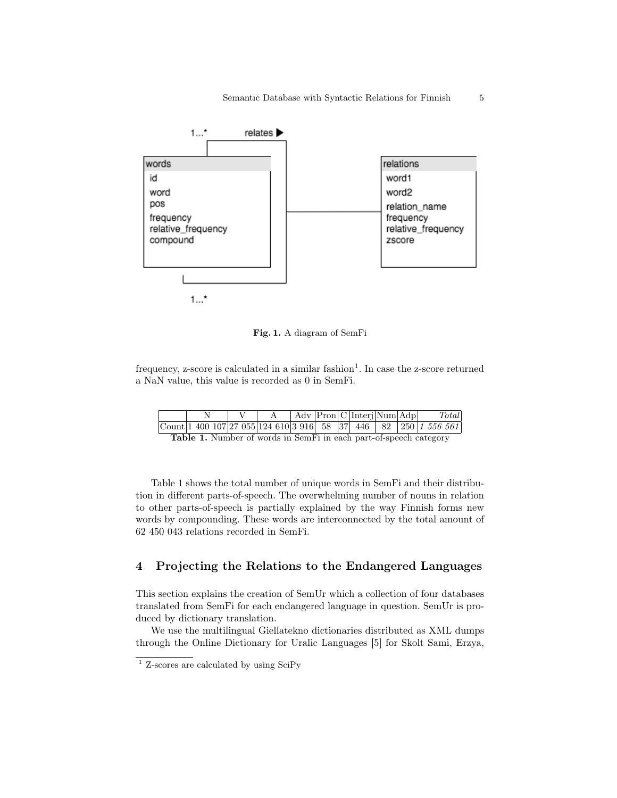

Fig. 1. A diagram of SemFi

frequency, z-score is calculated in a similar fashion<sup>1</sup>. In case the z-score returned a NaN value, this value is recorded as 0 in SemFi.

|                                                                         |  |  |  |  |  |  |  | Adv Pron C Interi Num Adp |  | Total                                                                    |
|-------------------------------------------------------------------------|--|--|--|--|--|--|--|---------------------------|--|--------------------------------------------------------------------------|
|                                                                         |  |  |  |  |  |  |  |                           |  | $\text{Count}$ 1 400 107 27 055 124 610 3 916 58 37 446 82 250 1 556 561 |
| <b>Toble 1</b> Number of words in SomEi in each part of speech category |  |  |  |  |  |  |  |                           |  |                                                                          |

Table 1. Number of words in SemFi in each part-of-speech category

Table 1 shows the total number of unique words in SemFi and their distribution in different parts-of-speech. The overwhelming number of nouns in relation to other parts-of-speech is partially explained by the way Finnish forms new words by compounding. These words are interconnected by the total amount of 62 450 043 relations recorded in SemFi.

# 4 Projecting the Relations to the Endangered Languages

This section explains the creation of SemUr which a collection of four databases translated from SemFi for each endangered language in question. SemUr is produced by dictionary translation.

We use the multilingual Giellatekno dictionaries distributed as XML dumps through the Online Dictionary for Uralic Languages [5] for Skolt Sami, Erzya,

<sup>1</sup> Z-scores are calculated by using SciPy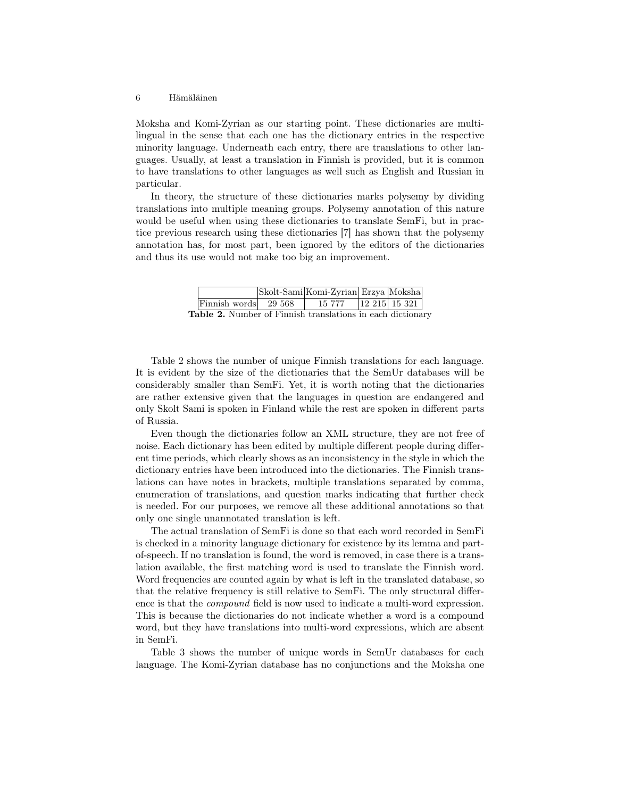Moksha and Komi-Zyrian as our starting point. These dictionaries are multilingual in the sense that each one has the dictionary entries in the respective minority language. Underneath each entry, there are translations to other languages. Usually, at least a translation in Finnish is provided, but it is common to have translations to other languages as well such as English and Russian in particular.

In theory, the structure of these dictionaries marks polysemy by dividing translations into multiple meaning groups. Polysemy annotation of this nature would be useful when using these dictionaries to translate SemFi, but in practice previous research using these dictionaries [7] has shown that the polysemy annotation has, for most part, been ignored by the editors of the dictionaries and thus its use would not make too big an improvement.

|                                                            | Skolt-Sami Komi-Zyrian Erzya Moksha |                    |
|------------------------------------------------------------|-------------------------------------|--------------------|
| $\text{Finnish words}$ 29.568                              | 15 777                              | $ 12\;215 $ 15 321 |
| Table 2. Number of Finnish translations in each dictionary |                                     |                    |

Table 2 shows the number of unique Finnish translations for each language. It is evident by the size of the dictionaries that the SemUr databases will be considerably smaller than SemFi. Yet, it is worth noting that the dictionaries are rather extensive given that the languages in question are endangered and only Skolt Sami is spoken in Finland while the rest are spoken in different parts of Russia.

Even though the dictionaries follow an XML structure, they are not free of noise. Each dictionary has been edited by multiple different people during different time periods, which clearly shows as an inconsistency in the style in which the dictionary entries have been introduced into the dictionaries. The Finnish translations can have notes in brackets, multiple translations separated by comma, enumeration of translations, and question marks indicating that further check is needed. For our purposes, we remove all these additional annotations so that only one single unannotated translation is left.

The actual translation of SemFi is done so that each word recorded in SemFi is checked in a minority language dictionary for existence by its lemma and partof-speech. If no translation is found, the word is removed, in case there is a translation available, the first matching word is used to translate the Finnish word. Word frequencies are counted again by what is left in the translated database, so that the relative frequency is still relative to SemFi. The only structural difference is that the compound field is now used to indicate a multi-word expression. This is because the dictionaries do not indicate whether a word is a compound word, but they have translations into multi-word expressions, which are absent in SemFi.

Table 3 shows the number of unique words in SemUr databases for each language. The Komi-Zyrian database has no conjunctions and the Moksha one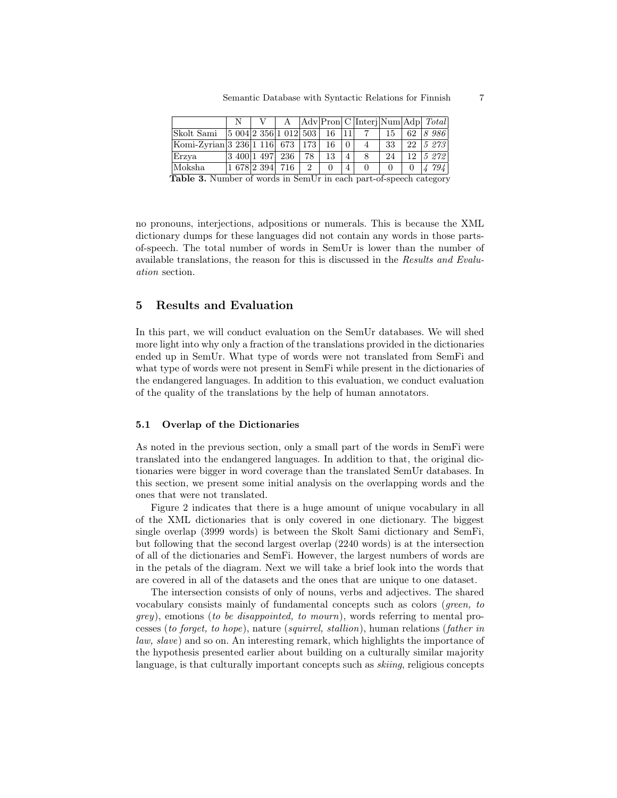|                                                                   |  |                                    |  |    |    |                |                 |                |    | A   Adv   Pron   C   Interj   Num   Adp   Total |
|-------------------------------------------------------------------|--|------------------------------------|--|----|----|----------------|-----------------|----------------|----|-------------------------------------------------|
| $ $ Skolt Sami $ 5 004 2 356 1 012 503  16  11 $                  |  |                                    |  |    |    |                | $7\overline{7}$ | 15             |    | 62 8 986                                        |
| Komi-Zyrian   3 236   1 116   673   173   16                      |  |                                    |  |    |    | $\Omega$       | $\overline{4}$  | - 33           | 22 | 5 273                                           |
| Erzya                                                             |  | $ 3\;400 1\;497 $ 236              |  | 78 | 13 | $\overline{4}$ | 8               | 24             |    | $12 \vert 5 \, 272 \vert$                       |
| Moksha                                                            |  | $ 1\;678 2\;394 \;716\; \;2\; \;0$ |  |    |    | 4              | $\Omega$        | $\overline{0}$ |    | 794                                             |
| Table 3. Number of words in SemUr in each part-of-speech category |  |                                    |  |    |    |                |                 |                |    |                                                 |

no pronouns, interjections, adpositions or numerals. This is because the XML dictionary dumps for these languages did not contain any words in those partsof-speech. The total number of words in SemUr is lower than the number of available translations, the reason for this is discussed in the Results and Evaluation section.

### 5 Results and Evaluation

In this part, we will conduct evaluation on the SemUr databases. We will shed more light into why only a fraction of the translations provided in the dictionaries ended up in SemUr. What type of words were not translated from SemFi and what type of words were not present in SemFi while present in the dictionaries of the endangered languages. In addition to this evaluation, we conduct evaluation of the quality of the translations by the help of human annotators.

#### 5.1 Overlap of the Dictionaries

As noted in the previous section, only a small part of the words in SemFi were translated into the endangered languages. In addition to that, the original dictionaries were bigger in word coverage than the translated SemUr databases. In this section, we present some initial analysis on the overlapping words and the ones that were not translated.

Figure 2 indicates that there is a huge amount of unique vocabulary in all of the XML dictionaries that is only covered in one dictionary. The biggest single overlap (3999 words) is between the Skolt Sami dictionary and SemFi, but following that the second largest overlap (2240 words) is at the intersection of all of the dictionaries and SemFi. However, the largest numbers of words are in the petals of the diagram. Next we will take a brief look into the words that are covered in all of the datasets and the ones that are unique to one dataset.

The intersection consists of only of nouns, verbs and adjectives. The shared vocabulary consists mainly of fundamental concepts such as colors (green, to  $qrey$ ), emotions (to be disappointed, to mourn), words referring to mental processes (to forget, to hope), nature (squirrel, stallion), human relations (father in law, slave) and so on. An interesting remark, which highlights the importance of the hypothesis presented earlier about building on a culturally similar majority language, is that culturally important concepts such as *skiing*, religious concepts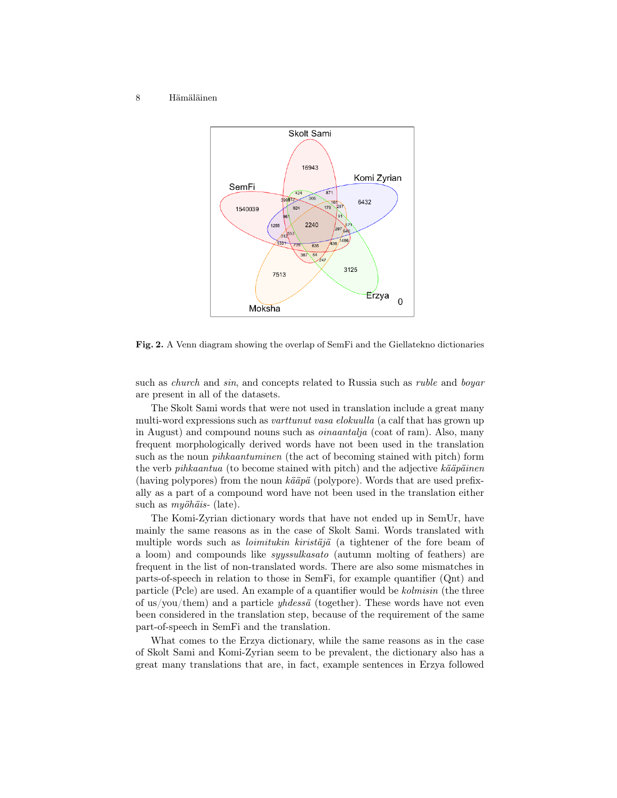

Fig. 2. A Venn diagram showing the overlap of SemFi and the Giellatekno dictionaries

such as *church* and *sin*, and concepts related to Russia such as *ruble* and *boyar* are present in all of the datasets.

The Skolt Sami words that were not used in translation include a great many multi-word expressions such as varttunut vasa elokuulla (a calf that has grown up in August) and compound nouns such as oinaantalja (coat of ram). Also, many frequent morphologically derived words have not been used in the translation such as the noun pihkaantuminen (the act of becoming stained with pitch) form the verb pihkaantua (to become stained with pitch) and the adjective kääpäinen (having polypores) from the noun kääpä (polypore). Words that are used prefixally as a part of a compound word have not been used in the translation either such as *myöhäis*- (late).

The Komi-Zyrian dictionary words that have not ended up in SemUr, have mainly the same reasons as in the case of Skolt Sami. Words translated with multiple words such as loimitukin kiristäjä (a tightener of the fore beam of a loom) and compounds like syyssulkasato (autumn molting of feathers) are frequent in the list of non-translated words. There are also some mismatches in parts-of-speech in relation to those in SemFi, for example quantifier (Qnt) and particle (Pcle) are used. An example of a quantifier would be kolmisin (the three of us/you/them) and a particle  $yhdess\ddot{a}$  (together). These words have not even been considered in the translation step, because of the requirement of the same part-of-speech in SemFi and the translation.

What comes to the Erzya dictionary, while the same reasons as in the case of Skolt Sami and Komi-Zyrian seem to be prevalent, the dictionary also has a great many translations that are, in fact, example sentences in Erzya followed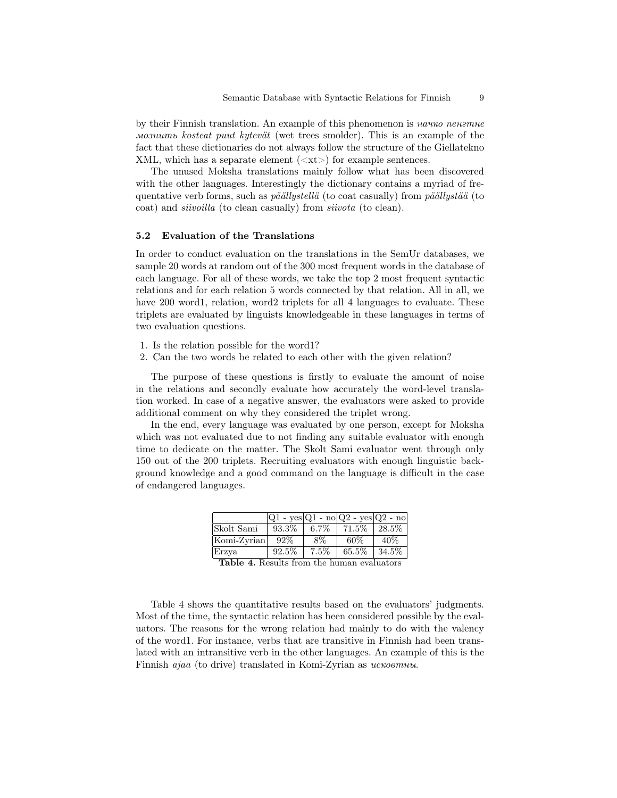by their Finnish translation. An example of this phenomenon is *начко пенгтне* мознить kosteat puut kytevät (wet trees smolder). This is an example of the fact that these dictionaries do not always follow the structure of the Giellatekno XML, which has a separate element  $(\langle \mathsf{x} \mathsf{t} \rangle)$  for example sentences.

The unused Moksha translations mainly follow what has been discovered with the other languages. Interestingly the dictionary contains a myriad of frequentative verb forms, such as päällystellä (to coat casually) from päällystää (to coat) and siivoilla (to clean casually) from siivota (to clean).

#### 5.2 Evaluation of the Translations

In order to conduct evaluation on the translations in the SemUr databases, we sample 20 words at random out of the 300 most frequent words in the database of each language. For all of these words, we take the top 2 most frequent syntactic relations and for each relation 5 words connected by that relation. All in all, we have 200 word1, relation, word2 triplets for all 4 languages to evaluate. These triplets are evaluated by linguists knowledgeable in these languages in terms of two evaluation questions.

- 1. Is the relation possible for the word1?
- 2. Can the two words be related to each other with the given relation?

The purpose of these questions is firstly to evaluate the amount of noise in the relations and secondly evaluate how accurately the word-level translation worked. In case of a negative answer, the evaluators were asked to provide additional comment on why they considered the triplet wrong.

In the end, every language was evaluated by one person, except for Moksha which was not evaluated due to not finding any suitable evaluator with enough time to dedicate on the matter. The Skolt Sami evaluator went through only 150 out of the 200 triplets. Recruiting evaluators with enough linguistic background knowledge and a good command on the language is difficult in the case of endangered languages.

|                                    | $ Q1 - \text{ves} Q1 - \text{no} Q2 - \text{ves} Q2 - \text{no}$ |         |       |          |
|------------------------------------|------------------------------------------------------------------|---------|-------|----------|
| Skolt Sami                         | 93.3%                                                            | $6.7\%$ | 71.5% | $28.5\%$ |
| Komi-Zyrian                        | $92\%$                                                           | 8%      | 60%   | 40%      |
| Erzya                              | 92.5%                                                            | 7.5%    | 65.5% | $34.5\%$ |
| $\overline{\phantom{a}}$<br>-- - - |                                                                  |         |       |          |

Table 4. Results from the human evaluators

Table 4 shows the quantitative results based on the evaluators' judgments. Most of the time, the syntactic relation has been considered possible by the evaluators. The reasons for the wrong relation had mainly to do with the valency of the word1. For instance, verbs that are transitive in Finnish had been translated with an intransitive verb in the other languages. An example of this is the Finnish ajaa (to drive) translated in Komi-Zyrian as исковтны.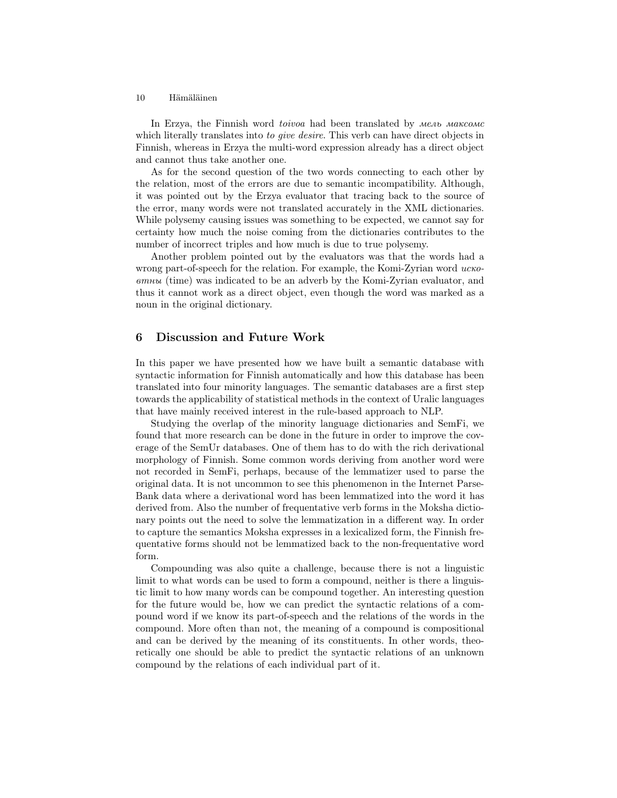In Erzya, the Finnish word toivoa had been translated by мель максомс which literally translates into to give desire. This verb can have direct objects in Finnish, whereas in Erzya the multi-word expression already has a direct object and cannot thus take another one.

As for the second question of the two words connecting to each other by the relation, most of the errors are due to semantic incompatibility. Although, it was pointed out by the Erzya evaluator that tracing back to the source of the error, many words were not translated accurately in the XML dictionaries. While polysemy causing issues was something to be expected, we cannot say for certainty how much the noise coming from the dictionaries contributes to the number of incorrect triples and how much is due to true polysemy.

Another problem pointed out by the evaluators was that the words had a wrong part-of-speech for the relation. For example, the Komi-Zyrian word  $uc\kappa o$ втны (time) was indicated to be an adverb by the Komi-Zyrian evaluator, and thus it cannot work as a direct object, even though the word was marked as a noun in the original dictionary.

### 6 Discussion and Future Work

In this paper we have presented how we have built a semantic database with syntactic information for Finnish automatically and how this database has been translated into four minority languages. The semantic databases are a first step towards the applicability of statistical methods in the context of Uralic languages that have mainly received interest in the rule-based approach to NLP.

Studying the overlap of the minority language dictionaries and SemFi, we found that more research can be done in the future in order to improve the coverage of the SemUr databases. One of them has to do with the rich derivational morphology of Finnish. Some common words deriving from another word were not recorded in SemFi, perhaps, because of the lemmatizer used to parse the original data. It is not uncommon to see this phenomenon in the Internet Parse-Bank data where a derivational word has been lemmatized into the word it has derived from. Also the number of frequentative verb forms in the Moksha dictionary points out the need to solve the lemmatization in a different way. In order to capture the semantics Moksha expresses in a lexicalized form, the Finnish frequentative forms should not be lemmatized back to the non-frequentative word form.

Compounding was also quite a challenge, because there is not a linguistic limit to what words can be used to form a compound, neither is there a linguistic limit to how many words can be compound together. An interesting question for the future would be, how we can predict the syntactic relations of a compound word if we know its part-of-speech and the relations of the words in the compound. More often than not, the meaning of a compound is compositional and can be derived by the meaning of its constituents. In other words, theoretically one should be able to predict the syntactic relations of an unknown compound by the relations of each individual part of it.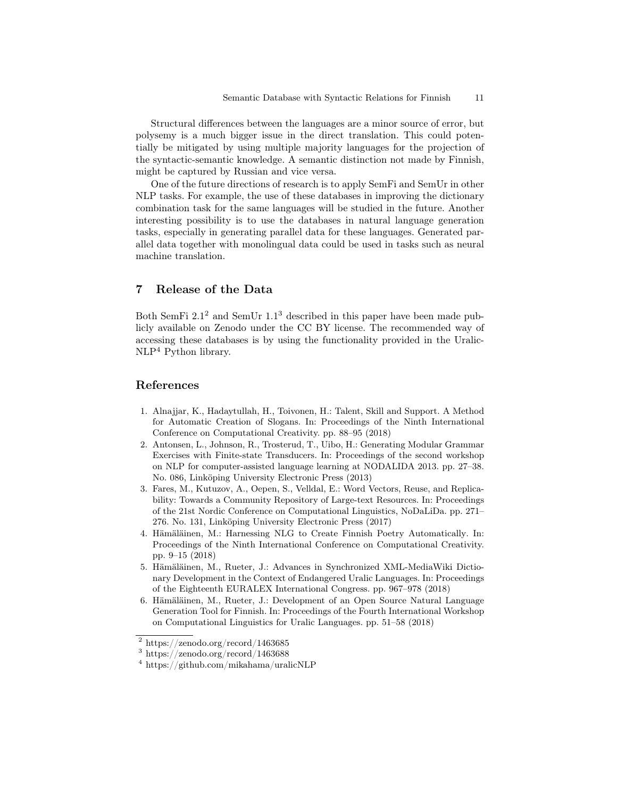Structural differences between the languages are a minor source of error, but polysemy is a much bigger issue in the direct translation. This could potentially be mitigated by using multiple majority languages for the projection of the syntactic-semantic knowledge. A semantic distinction not made by Finnish, might be captured by Russian and vice versa.

One of the future directions of research is to apply SemFi and SemUr in other NLP tasks. For example, the use of these databases in improving the dictionary combination task for the same languages will be studied in the future. Another interesting possibility is to use the databases in natural language generation tasks, especially in generating parallel data for these languages. Generated parallel data together with monolingual data could be used in tasks such as neural machine translation.

## 7 Release of the Data

Both SemFi  $2.1<sup>2</sup>$  and SemUr  $1.1<sup>3</sup>$  described in this paper have been made publicly available on Zenodo under the CC BY license. The recommended way of accessing these databases is by using the functionality provided in the Uralic-NLP<sup>4</sup> Python library.

### References

- 1. Alnajjar, K., Hadaytullah, H., Toivonen, H.: Talent, Skill and Support. A Method for Automatic Creation of Slogans. In: Proceedings of the Ninth International Conference on Computational Creativity. pp. 88–95 (2018)
- 2. Antonsen, L., Johnson, R., Trosterud, T., Uibo, H.: Generating Modular Grammar Exercises with Finite-state Transducers. In: Proceedings of the second workshop on NLP for computer-assisted language learning at NODALIDA 2013. pp. 27–38. No. 086, Linköping University Electronic Press (2013)
- 3. Fares, M., Kutuzov, A., Oepen, S., Velldal, E.: Word Vectors, Reuse, and Replicability: Towards a Community Repository of Large-text Resources. In: Proceedings of the 21st Nordic Conference on Computational Linguistics, NoDaLiDa. pp. 271– 276. No. 131, Linköping University Electronic Press (2017)
- 4. Hämäläinen, M.: Harnessing NLG to Create Finnish Poetry Automatically. In: Proceedings of the Ninth International Conference on Computational Creativity. pp. 9–15 (2018)
- 5. Hämäläinen, M., Rueter, J.: Advances in Synchronized XML-MediaWiki Dictionary Development in the Context of Endangered Uralic Languages. In: Proceedings of the Eighteenth EURALEX International Congress. pp. 967–978 (2018)
- 6. Hämäläinen, M., Rueter, J.: Development of an Open Source Natural Language Generation Tool for Finnish. In: Proceedings of the Fourth International Workshop on Computational Linguistics for Uralic Languages. pp. 51–58 (2018)

<sup>2</sup> https://zenodo.org/record/1463685

<sup>3</sup> https://zenodo.org/record/1463688

<sup>4</sup> https://github.com/mikahama/uralicNLP